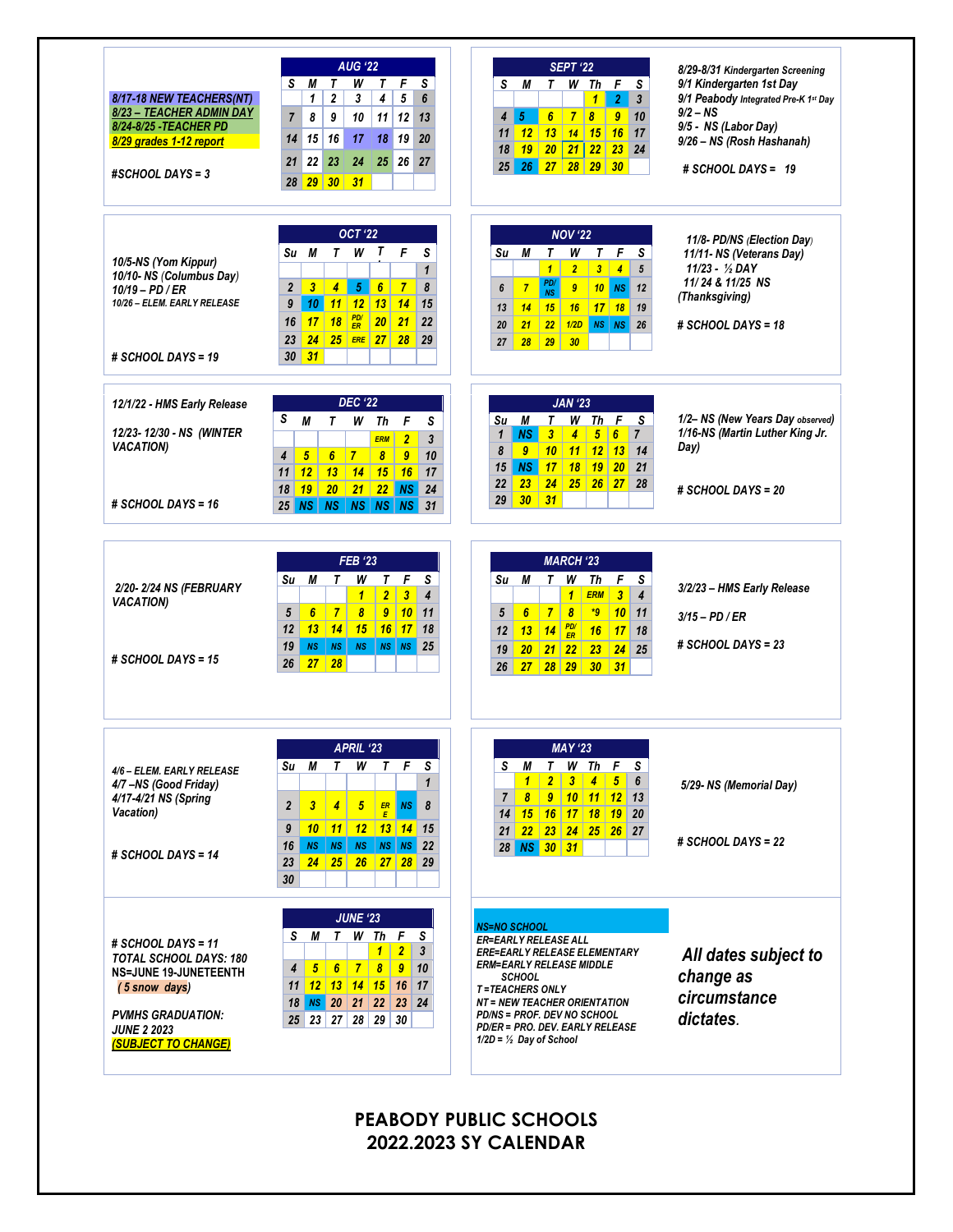|                                                                                                                                                                                                                                                      | <b>AUG '22</b>                                                                                                              | <b>SEPT '22</b>                                                                                                    | 8/29-8/31 Kindergarten Screening                                 |
|------------------------------------------------------------------------------------------------------------------------------------------------------------------------------------------------------------------------------------------------------|-----------------------------------------------------------------------------------------------------------------------------|--------------------------------------------------------------------------------------------------------------------|------------------------------------------------------------------|
| 8/17-18 NEW TEACHERS(NT)                                                                                                                                                                                                                             | S<br>М<br>T<br>W<br>F<br>S<br>T<br>$\mathbf 2$<br>4<br>5<br>1<br>3<br>6                                                     | W Th F<br>S<br>S<br>М<br>T.<br>$\overline{2}$<br>$\mathbf{1}$<br>$\mathbf{3}$<br>۰                                 | 9/1 Kindergarten 1st Day<br>9/1 Peabody Integrated Pre-K 1st Day |
| 8/23 - TEACHER ADMIN DAY                                                                                                                                                                                                                             | $\overline{7}$<br>8<br>9<br>10<br>11<br>12<br>13                                                                            | 15<br>$\overline{7}$<br>$\overline{9}$<br>4<br>6 <sup>1</sup><br>$\boldsymbol{8}$<br>10                            | $9/2 - NS$                                                       |
| 8/24-8/25 - TEACHER PD<br>8/29 grades 1-12 report                                                                                                                                                                                                    | 15<br>16<br>19<br>14<br>17<br>18<br>20                                                                                      | 12 13 14 15 16 17<br>11                                                                                            | 9/5 - NS (Labor Day)<br>9/26 - NS (Rosh Hashanah)                |
|                                                                                                                                                                                                                                                      |                                                                                                                             | 20<br>21<br>22<br>$23$ 24<br>19 <sup>1</sup><br>18                                                                 |                                                                  |
| #SCHOOL DAYS = 3                                                                                                                                                                                                                                     | 22<br>23<br>26<br>21<br>24<br>25<br>27<br>28 29 30 31                                                                       | 26 27 28 29 30<br>$25\,$                                                                                           | # SCHOOL DAYS = 19                                               |
|                                                                                                                                                                                                                                                      |                                                                                                                             |                                                                                                                    |                                                                  |
|                                                                                                                                                                                                                                                      | <b>OCT '22</b><br>$\mathbf{r}$<br>F<br>S<br>М<br>T<br>W<br>Su                                                               | <b>NOV '22</b><br>W<br>F<br>М<br>Τ<br>T<br>S<br>Su                                                                 | 11/8- PD/NS (Election Day)<br>11/11- NS (Veterans Day)           |
| 10/5-NS (Yom Kippur)                                                                                                                                                                                                                                 | $\mathbf{1}$                                                                                                                | $\overline{2}$<br>$3 \mid 4 \mid$<br>1 <sup>1</sup><br>5                                                           | $11/23 - \frac{1}{2}$ DAY                                        |
| 10/10- NS (Columbus Day)<br>$10/19 - PD / ER$                                                                                                                                                                                                        | 5 <sup>5</sup><br>$\overline{7}$<br>8<br>$\overline{2}$<br>$\overline{\mathbf{3}}$<br>$\overline{4}$<br>6 <sup>1</sup>      | PD/<br>$\overline{7}$<br>9<br>$10$ NS $12$<br>6                                                                    | 11/24 & 11/25 NS                                                 |
| 10/26 - ELEM. EARLY RELEASE                                                                                                                                                                                                                          | 9<br>10 <sup>1</sup><br>$11 \mid 12 \mid$<br>13<br>14<br>15                                                                 | <b>NS</b><br>$17$ 18 19<br>15<br>14<br>16<br>13                                                                    | (Thanksgiving)                                                   |
|                                                                                                                                                                                                                                                      | $\frac{PD}{ER}$<br>17<br>18<br>20 <sup>1</sup><br>21<br>22<br>16                                                            | <b>NS NS 26</b><br>22<br>1/2D<br>21<br>20                                                                          | # SCHOOL DAYS = 18                                               |
|                                                                                                                                                                                                                                                      | $24$ $25$ ERE $27$ $28$<br>23<br>29                                                                                         | 28<br>29<br>30<br>27                                                                                               |                                                                  |
| # SCHOOL DAYS = 19                                                                                                                                                                                                                                   | 31<br>30                                                                                                                    |                                                                                                                    |                                                                  |
| 12/1/22 - HMS Early Release                                                                                                                                                                                                                          | <b>DEC '22</b>                                                                                                              | <b>JAN '23</b>                                                                                                     |                                                                  |
|                                                                                                                                                                                                                                                      | S<br>M<br>T<br>w<br>Th<br>F<br>S                                                                                            | M<br>T<br>W Th F<br>S.<br>Su                                                                                       | 1/2- NS (New Years Day observed)                                 |
| 12/23-12/30 - NS (WINTER<br><b>VACATION)</b>                                                                                                                                                                                                         | $\overline{2}$<br>$\mathbf{3}$<br><b>ERM</b>                                                                                | <b>NS</b><br>$\boldsymbol{\beta}$<br>$\sqrt{5}$<br>$\boldsymbol{6}$<br>$\mathbf{1}$<br>4<br>$\overline{7}$         | 1/16-NS (Martin Luther King Jr.<br>Day)                          |
|                                                                                                                                                                                                                                                      | $5\phantom{.0}$<br>$\overline{7}$<br>$\boldsymbol{9}$<br>10<br>$\boldsymbol{4}$<br>$6\phantom{.}6$<br>$\boldsymbol{\delta}$ | 8<br>9 <sup>°</sup><br>$10$ 11 12 13 14<br>NS<br>17<br>18<br>19<br>20 <sup>1</sup><br>15                           |                                                                  |
|                                                                                                                                                                                                                                                      | $14$ 15<br>11<br>12<br>13<br>16<br>17                                                                                       | 21<br>$23 \mid 24 \mid$<br>$25$ 26 27<br>22<br>28                                                                  |                                                                  |
| # SCHOOL DAYS = $16$                                                                                                                                                                                                                                 | 20 <sub>2</sub><br>$21$ 22<br><b>NS</b><br>18<br>$\vert$ 19<br>24<br>NS NS NS NS<br>25 <sub>1</sub><br><b>NS</b><br>31      | $30 \mid 31$<br>29                                                                                                 | # SCHOOL DAYS = 20                                               |
|                                                                                                                                                                                                                                                      |                                                                                                                             |                                                                                                                    |                                                                  |
|                                                                                                                                                                                                                                                      | <b>FEB '23</b>                                                                                                              | <b>MARCH '23</b>                                                                                                   |                                                                  |
| 2/20-2/24 NS (FEBRUARY                                                                                                                                                                                                                               | М<br>Τ<br>W<br>T<br>F<br>S<br>Su<br>$\mathbf{1}$<br>$\overline{2}$<br>$\overline{\mathbf{3}}$<br>$\overline{\mathbf{4}}$    | F.<br>М<br>T W<br>Th<br>S<br>Su<br>1 <sup>1</sup><br><b>ERM</b><br> 3 <br>$\overline{\mathbf{4}}$                  | 3/2/23 - HMS Early Release                                       |
| <b>VACATION)</b>                                                                                                                                                                                                                                     |                                                                                                                             |                                                                                                                    |                                                                  |
|                                                                                                                                                                                                                                                      |                                                                                                                             |                                                                                                                    |                                                                  |
|                                                                                                                                                                                                                                                      | 5<br>$6\phantom{1}6$<br>$\overline{7}$<br>$\overline{9}$<br> 10 <br>$\boldsymbol{8}$<br>11<br>13<br> 14 <br>15<br>12<br>18  | 7 <sup>1</sup><br>$\boldsymbol{8}$<br>5<br>$\boldsymbol{6}$<br>$10$ 11<br>$*9$                                     | $3/15 - PD/ER$                                                   |
|                                                                                                                                                                                                                                                      | $16$ 17<br>19<br>N <sub>S</sub><br><b>NS</b><br>$NS$ $NS$<br><b>NS</b><br>25                                                | $\frac{PD}{ER}$<br>13<br>14<br>16<br>$17$ 18<br>12<br>19                                                           | # SCHOOL DAYS = 23                                               |
|                                                                                                                                                                                                                                                      | 28<br>27<br>26                                                                                                              | $24$ 25<br>20<br>$21 \overline{\smash{)}22}$<br>23<br>27 28 29<br>26 <sup>1</sup><br>$30 \quad 31$                 |                                                                  |
|                                                                                                                                                                                                                                                      |                                                                                                                             |                                                                                                                    |                                                                  |
|                                                                                                                                                                                                                                                      | APRIL '23                                                                                                                   | <b>MAY '23</b>                                                                                                     |                                                                  |
|                                                                                                                                                                                                                                                      | F<br>S<br>Su<br>М<br>Τ<br>W<br>T<br>$\mathbf{1}$                                                                            | W Th<br>F<br>S<br>S<br>М<br>T.<br>2 <sup>1</sup><br>$\sqrt{5}$<br>1<br>$\boldsymbol{\beta}$<br>$\overline{4}$<br>6 |                                                                  |
|                                                                                                                                                                                                                                                      |                                                                                                                             | $\overline{7}$<br>8<br>9 10 11 12<br>13                                                                            | 5/29-NS (Memorial Day)                                           |
|                                                                                                                                                                                                                                                      | $\boldsymbol{2}$<br>3<br>5<br>$\frac{ER}{E}$<br><b>NS</b><br>8<br>4                                                         | <u>15 16 17 18 19</u><br>20<br>14                                                                                  |                                                                  |
|                                                                                                                                                                                                                                                      | 12<br>13 14 <br>10<br> 11 <br>15<br>9                                                                                       | $22 \quad 23 \quad 24$<br>25 <sup>2</sup><br>$26$ 27<br>21                                                         |                                                                  |
|                                                                                                                                                                                                                                                      | 16<br><b>NS</b><br><b>NS</b><br><b>NS</b><br><b>NS</b><br>NS<br>22                                                          | 28 NS 30 31                                                                                                        | $#$ SCHOOL DAYS = 22                                             |
|                                                                                                                                                                                                                                                      | 24<br>25<br>27 28 29<br>23<br>26<br>30                                                                                      |                                                                                                                    |                                                                  |
|                                                                                                                                                                                                                                                      | <b>JUNE '23</b>                                                                                                             |                                                                                                                    |                                                                  |
|                                                                                                                                                                                                                                                      | W Th F<br>S<br>S<br>М<br>T.                                                                                                 | <b>NS=NO SCHOOL</b><br><b>ER=EARLY RELEASE ALL</b>                                                                 |                                                                  |
|                                                                                                                                                                                                                                                      | $\overline{2}$<br>3<br>$\mathbf{1}$                                                                                         | <b>ERE=EARLY RELEASE ELEMENTARY</b>                                                                                | All dates subject to                                             |
|                                                                                                                                                                                                                                                      | 5 <sup>1</sup><br>$6 \mid 7$<br>$\boldsymbol{\delta}$<br>$\boldsymbol{9}$<br>10<br>4                                        | <b>ERM=EARLY RELEASE MIDDLE</b><br><b>SCHOOL</b>                                                                   |                                                                  |
| # SCHOOL DAYS = $15$<br>4/6 - ELEM. EARLY RELEASE<br>4/7-NS (Good Friday)<br>4/17-4/21 NS (Spring<br><b>Vacation</b> )<br># SCHOOL DAYS = 14<br># SCHOOL DAYS = 11<br><b>TOTAL SCHOOL DAYS: 180</b><br><b>NS=JUNE 19-JUNETEENTH</b><br>(5 snow days) | <u>  12   13   14   15  </u><br>11<br>16<br>17                                                                              | <b>T=TEACHERS ONLY</b>                                                                                             | change as                                                        |
|                                                                                                                                                                                                                                                      | NS 20 21 22<br>23 <sup>1</sup><br>24<br>18                                                                                  | <b>NT = NEW TEACHER ORIENTATION</b><br><b>PD/NS = PROF. DEV NO SCHOOL</b>                                          | circumstance                                                     |
| <b>PVMHS GRADUATION:</b><br><b>JUNE 2 2023</b>                                                                                                                                                                                                       | 23 27 28 29 30<br>25 <sub>1</sub>                                                                                           | PD/ER = PRO. DEV. EARLY RELEASE<br>$1/2D = \frac{1}{2}$ Day of School                                              | dictates.                                                        |

**PEABODY PUBLIC SCHOOLS 2022.2023 SY CALENDAR**